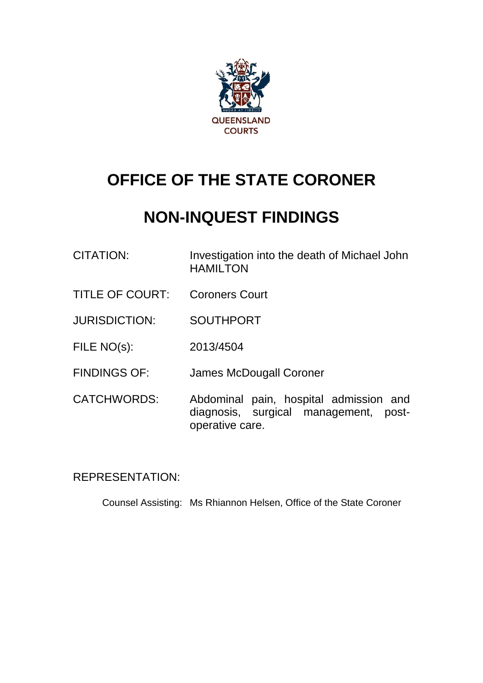

# **OFFICE OF THE STATE CORONER**

# **NON-INQUEST FINDINGS**

- CITATION: Investigation into the death of Michael John HAMILTON
- TITLE OF COURT: Coroners Court
- JURISDICTION: SOUTHPORT
- FILE NO(s): 2013/4504
- FINDINGS OF: James McDougall Coroner
- CATCHWORDS: Abdominal pain, hospital admission and diagnosis, surgical management, postoperative care.

# REPRESENTATION:

Counsel Assisting: Ms Rhiannon Helsen, Office of the State Coroner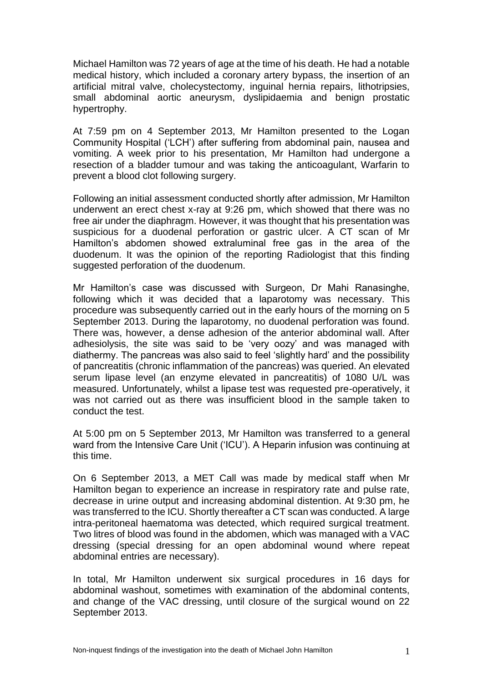Michael Hamilton was 72 years of age at the time of his death. He had a notable medical history, which included a coronary artery bypass, the insertion of an artificial mitral valve, cholecystectomy, inguinal hernia repairs, lithotripsies, small abdominal aortic aneurysm, dyslipidaemia and benign prostatic hypertrophy.

At 7:59 pm on 4 September 2013, Mr Hamilton presented to the Logan Community Hospital ('LCH') after suffering from abdominal pain, nausea and vomiting. A week prior to his presentation, Mr Hamilton had undergone a resection of a bladder tumour and was taking the anticoagulant, Warfarin to prevent a blood clot following surgery.

Following an initial assessment conducted shortly after admission, Mr Hamilton underwent an erect chest x-ray at 9:26 pm, which showed that there was no free air under the diaphragm. However, it was thought that his presentation was suspicious for a duodenal perforation or gastric ulcer. A CT scan of Mr Hamilton's abdomen showed extraluminal free gas in the area of the duodenum. It was the opinion of the reporting Radiologist that this finding suggested perforation of the duodenum.

Mr Hamilton's case was discussed with Surgeon, Dr Mahi Ranasinghe, following which it was decided that a laparotomy was necessary. This procedure was subsequently carried out in the early hours of the morning on 5 September 2013. During the laparotomy, no duodenal perforation was found. There was, however, a dense adhesion of the anterior abdominal wall. After adhesiolysis, the site was said to be 'very oozy' and was managed with diathermy. The pancreas was also said to feel 'slightly hard' and the possibility of pancreatitis (chronic inflammation of the pancreas) was queried. An elevated serum lipase level (an enzyme elevated in pancreatitis) of 1080 U/L was measured. Unfortunately, whilst a lipase test was requested pre-operatively, it was not carried out as there was insufficient blood in the sample taken to conduct the test.

At 5:00 pm on 5 September 2013, Mr Hamilton was transferred to a general ward from the Intensive Care Unit ('ICU'). A Heparin infusion was continuing at this time.

On 6 September 2013, a MET Call was made by medical staff when Mr Hamilton began to experience an increase in respiratory rate and pulse rate, decrease in urine output and increasing abdominal distention. At 9:30 pm, he was transferred to the ICU. Shortly thereafter a CT scan was conducted. A large intra-peritoneal haematoma was detected, which required surgical treatment. Two litres of blood was found in the abdomen, which was managed with a VAC dressing (special dressing for an open abdominal wound where repeat abdominal entries are necessary).

In total, Mr Hamilton underwent six surgical procedures in 16 days for abdominal washout, sometimes with examination of the abdominal contents, and change of the VAC dressing, until closure of the surgical wound on 22 September 2013.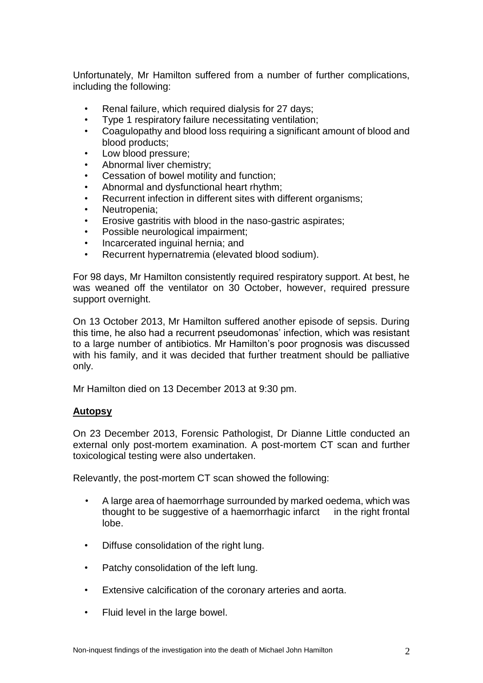Unfortunately, Mr Hamilton suffered from a number of further complications, including the following:

- Renal failure, which required dialysis for 27 days:
- Type 1 respiratory failure necessitating ventilation;
- Coagulopathy and blood loss requiring a significant amount of blood and blood products;
- Low blood pressure;
- Abnormal liver chemistry;
- Cessation of bowel motility and function;
- Abnormal and dysfunctional heart rhythm;
- Recurrent infection in different sites with different organisms;
- Neutropenia:
- Erosive gastritis with blood in the naso-gastric aspirates;
- Possible neurological impairment;
- Incarcerated inguinal hernia; and
- Recurrent hypernatremia (elevated blood sodium).

For 98 days, Mr Hamilton consistently required respiratory support. At best, he was weaned off the ventilator on 30 October, however, required pressure support overnight.

On 13 October 2013, Mr Hamilton suffered another episode of sepsis. During this time, he also had a recurrent pseudomonas' infection, which was resistant to a large number of antibiotics. Mr Hamilton's poor prognosis was discussed with his family, and it was decided that further treatment should be palliative only.

Mr Hamilton died on 13 December 2013 at 9:30 pm.

# **Autopsy**

On 23 December 2013, Forensic Pathologist, Dr Dianne Little conducted an external only post-mortem examination. A post-mortem CT scan and further toxicological testing were also undertaken.

Relevantly, the post-mortem CT scan showed the following:

- A large area of haemorrhage surrounded by marked oedema, which was thought to be suggestive of a haemorrhagic infarct in the right frontal lobe.
- Diffuse consolidation of the right lung.
- Patchy consolidation of the left lung.
- Extensive calcification of the coronary arteries and aorta.
- Fluid level in the large bowel.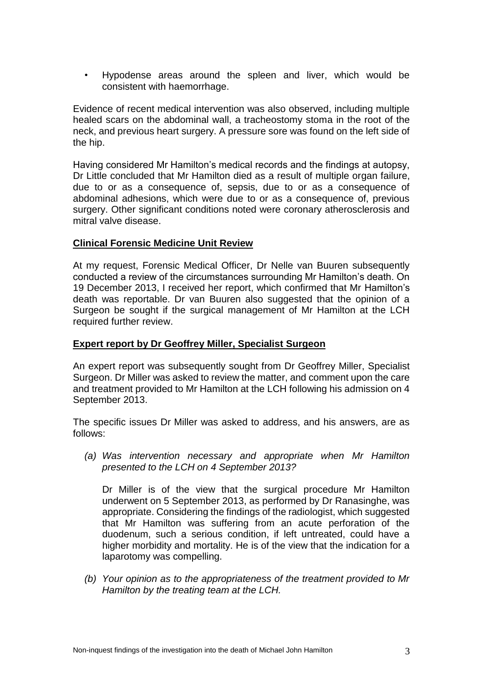• Hypodense areas around the spleen and liver, which would be consistent with haemorrhage.

Evidence of recent medical intervention was also observed, including multiple healed scars on the abdominal wall, a tracheostomy stoma in the root of the neck, and previous heart surgery. A pressure sore was found on the left side of the hip.

Having considered Mr Hamilton's medical records and the findings at autopsy, Dr Little concluded that Mr Hamilton died as a result of multiple organ failure, due to or as a consequence of, sepsis, due to or as a consequence of abdominal adhesions, which were due to or as a consequence of, previous surgery. Other significant conditions noted were coronary atherosclerosis and mitral valve disease.

## **Clinical Forensic Medicine Unit Review**

At my request, Forensic Medical Officer, Dr Nelle van Buuren subsequently conducted a review of the circumstances surrounding Mr Hamilton's death. On 19 December 2013, I received her report, which confirmed that Mr Hamilton's death was reportable. Dr van Buuren also suggested that the opinion of a Surgeon be sought if the surgical management of Mr Hamilton at the LCH required further review.

## **Expert report by Dr Geoffrey Miller, Specialist Surgeon**

An expert report was subsequently sought from Dr Geoffrey Miller, Specialist Surgeon. Dr Miller was asked to review the matter, and comment upon the care and treatment provided to Mr Hamilton at the LCH following his admission on 4 September 2013.

The specific issues Dr Miller was asked to address, and his answers, are as follows:

*(a) Was intervention necessary and appropriate when Mr Hamilton presented to the LCH on 4 September 2013?*

Dr Miller is of the view that the surgical procedure Mr Hamilton underwent on 5 September 2013, as performed by Dr Ranasinghe, was appropriate. Considering the findings of the radiologist, which suggested that Mr Hamilton was suffering from an acute perforation of the duodenum, such a serious condition, if left untreated, could have a higher morbidity and mortality. He is of the view that the indication for a laparotomy was compelling.

*(b) Your opinion as to the appropriateness of the treatment provided to Mr Hamilton by the treating team at the LCH.*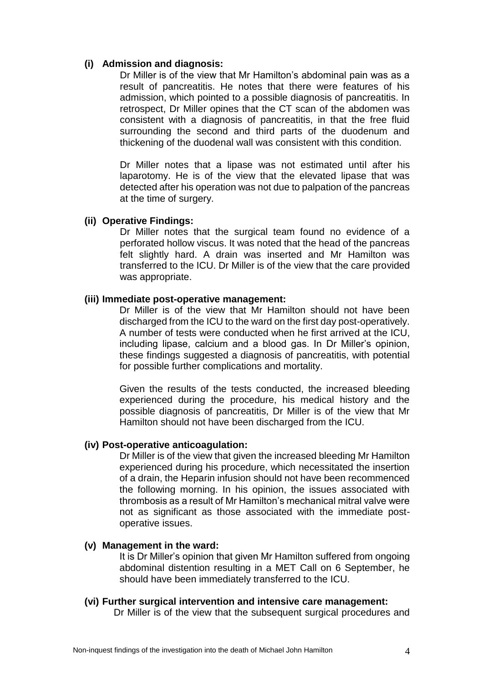## **(i) Admission and diagnosis:**

Dr Miller is of the view that Mr Hamilton's abdominal pain was as a result of pancreatitis. He notes that there were features of his admission, which pointed to a possible diagnosis of pancreatitis. In retrospect, Dr Miller opines that the CT scan of the abdomen was consistent with a diagnosis of pancreatitis, in that the free fluid surrounding the second and third parts of the duodenum and thickening of the duodenal wall was consistent with this condition.

Dr Miller notes that a lipase was not estimated until after his laparotomy. He is of the view that the elevated lipase that was detected after his operation was not due to palpation of the pancreas at the time of surgery.

## **(ii) Operative Findings:**

Dr Miller notes that the surgical team found no evidence of a perforated hollow viscus. It was noted that the head of the pancreas felt slightly hard. A drain was inserted and Mr Hamilton was transferred to the ICU. Dr Miller is of the view that the care provided was appropriate.

## **(iii) Immediate post-operative management:**

Dr Miller is of the view that Mr Hamilton should not have been discharged from the ICU to the ward on the first day post-operatively. A number of tests were conducted when he first arrived at the ICU, including lipase, calcium and a blood gas. In Dr Miller's opinion, these findings suggested a diagnosis of pancreatitis, with potential for possible further complications and mortality.

Given the results of the tests conducted, the increased bleeding experienced during the procedure, his medical history and the possible diagnosis of pancreatitis, Dr Miller is of the view that Mr Hamilton should not have been discharged from the ICU.

## **(iv) Post-operative anticoagulation:**

Dr Miller is of the view that given the increased bleeding Mr Hamilton experienced during his procedure, which necessitated the insertion of a drain, the Heparin infusion should not have been recommenced the following morning. In his opinion, the issues associated with thrombosis as a result of Mr Hamilton's mechanical mitral valve were not as significant as those associated with the immediate postoperative issues.

## **(v) Management in the ward:**

It is Dr Miller's opinion that given Mr Hamilton suffered from ongoing abdominal distention resulting in a MET Call on 6 September, he should have been immediately transferred to the ICU.

## **(vi) Further surgical intervention and intensive care management:**

Dr Miller is of the view that the subsequent surgical procedures and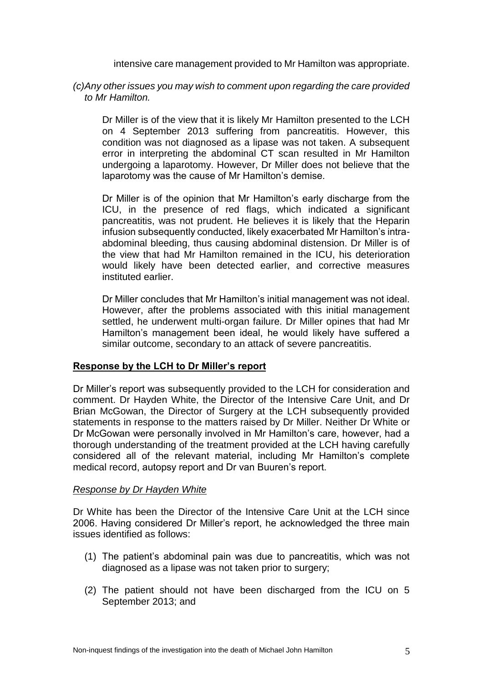intensive care management provided to Mr Hamilton was appropriate.

*(c)Any other issues you may wish to comment upon regarding the care provided to Mr Hamilton.*

Dr Miller is of the view that it is likely Mr Hamilton presented to the LCH on 4 September 2013 suffering from pancreatitis. However, this condition was not diagnosed as a lipase was not taken. A subsequent error in interpreting the abdominal CT scan resulted in Mr Hamilton undergoing a laparotomy. However, Dr Miller does not believe that the laparotomy was the cause of Mr Hamilton's demise.

Dr Miller is of the opinion that Mr Hamilton's early discharge from the ICU, in the presence of red flags, which indicated a significant pancreatitis, was not prudent. He believes it is likely that the Heparin infusion subsequently conducted, likely exacerbated Mr Hamilton's intraabdominal bleeding, thus causing abdominal distension. Dr Miller is of the view that had Mr Hamilton remained in the ICU, his deterioration would likely have been detected earlier, and corrective measures instituted earlier.

Dr Miller concludes that Mr Hamilton's initial management was not ideal. However, after the problems associated with this initial management settled, he underwent multi-organ failure. Dr Miller opines that had Mr Hamilton's management been ideal, he would likely have suffered a similar outcome, secondary to an attack of severe pancreatitis.

# **Response by the LCH to Dr Miller's report**

Dr Miller's report was subsequently provided to the LCH for consideration and comment. Dr Hayden White, the Director of the Intensive Care Unit, and Dr Brian McGowan, the Director of Surgery at the LCH subsequently provided statements in response to the matters raised by Dr Miller. Neither Dr White or Dr McGowan were personally involved in Mr Hamilton's care, however, had a thorough understanding of the treatment provided at the LCH having carefully considered all of the relevant material, including Mr Hamilton's complete medical record, autopsy report and Dr van Buuren's report.

# *Response by Dr Hayden White*

Dr White has been the Director of the Intensive Care Unit at the LCH since 2006. Having considered Dr Miller's report, he acknowledged the three main issues identified as follows:

- (1) The patient's abdominal pain was due to pancreatitis, which was not diagnosed as a lipase was not taken prior to surgery;
- (2) The patient should not have been discharged from the ICU on 5 September 2013; and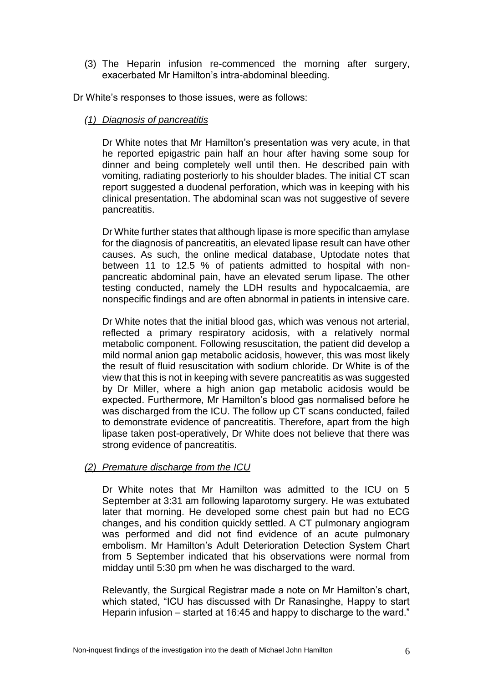(3) The Heparin infusion re-commenced the morning after surgery, exacerbated Mr Hamilton's intra-abdominal bleeding.

Dr White's responses to those issues, were as follows:

# *(1) Diagnosis of pancreatitis*

Dr White notes that Mr Hamilton's presentation was very acute, in that he reported epigastric pain half an hour after having some soup for dinner and being completely well until then. He described pain with vomiting, radiating posteriorly to his shoulder blades. The initial CT scan report suggested a duodenal perforation, which was in keeping with his clinical presentation. The abdominal scan was not suggestive of severe pancreatitis.

Dr White further states that although lipase is more specific than amylase for the diagnosis of pancreatitis, an elevated lipase result can have other causes. As such, the online medical database, Uptodate notes that between 11 to 12.5 % of patients admitted to hospital with nonpancreatic abdominal pain, have an elevated serum lipase. The other testing conducted, namely the LDH results and hypocalcaemia, are nonspecific findings and are often abnormal in patients in intensive care.

Dr White notes that the initial blood gas, which was venous not arterial, reflected a primary respiratory acidosis, with a relatively normal metabolic component. Following resuscitation, the patient did develop a mild normal anion gap metabolic acidosis, however, this was most likely the result of fluid resuscitation with sodium chloride. Dr White is of the view that this is not in keeping with severe pancreatitis as was suggested by Dr Miller, where a high anion gap metabolic acidosis would be expected. Furthermore, Mr Hamilton's blood gas normalised before he was discharged from the ICU. The follow up CT scans conducted, failed to demonstrate evidence of pancreatitis. Therefore, apart from the high lipase taken post-operatively, Dr White does not believe that there was strong evidence of pancreatitis.

# *(2) Premature discharge from the ICU*

Dr White notes that Mr Hamilton was admitted to the ICU on 5 September at 3:31 am following laparotomy surgery. He was extubated later that morning. He developed some chest pain but had no ECG changes, and his condition quickly settled. A CT pulmonary angiogram was performed and did not find evidence of an acute pulmonary embolism. Mr Hamilton's Adult Deterioration Detection System Chart from 5 September indicated that his observations were normal from midday until 5:30 pm when he was discharged to the ward.

Relevantly, the Surgical Registrar made a note on Mr Hamilton's chart, which stated, "ICU has discussed with Dr Ranasinghe, Happy to start Heparin infusion – started at 16:45 and happy to discharge to the ward."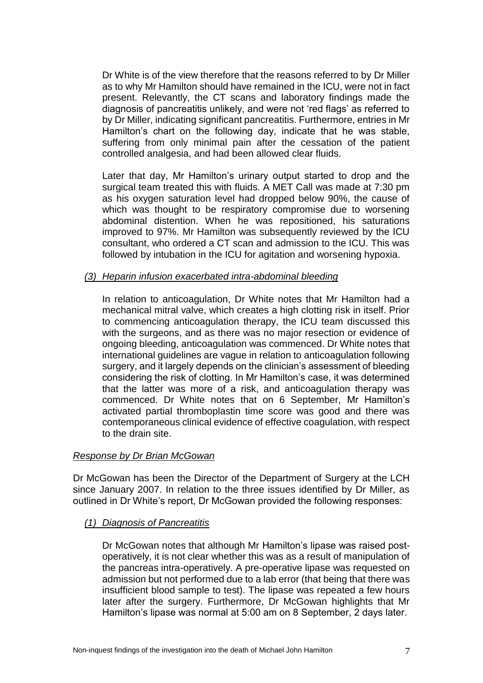Dr White is of the view therefore that the reasons referred to by Dr Miller as to why Mr Hamilton should have remained in the ICU, were not in fact present. Relevantly, the CT scans and laboratory findings made the diagnosis of pancreatitis unlikely, and were not 'red flags' as referred to by Dr Miller, indicating significant pancreatitis. Furthermore, entries in Mr Hamilton's chart on the following day, indicate that he was stable, suffering from only minimal pain after the cessation of the patient controlled analgesia, and had been allowed clear fluids.

Later that day, Mr Hamilton's urinary output started to drop and the surgical team treated this with fluids. A MET Call was made at 7:30 pm as his oxygen saturation level had dropped below 90%, the cause of which was thought to be respiratory compromise due to worsening abdominal distention. When he was repositioned, his saturations improved to 97%. Mr Hamilton was subsequently reviewed by the ICU consultant, who ordered a CT scan and admission to the ICU. This was followed by intubation in the ICU for agitation and worsening hypoxia.

## *(3) Heparin infusion exacerbated intra-abdominal bleeding*

In relation to anticoagulation, Dr White notes that Mr Hamilton had a mechanical mitral valve, which creates a high clotting risk in itself. Prior to commencing anticoagulation therapy, the ICU team discussed this with the surgeons, and as there was no major resection or evidence of ongoing bleeding, anticoagulation was commenced. Dr White notes that international guidelines are vague in relation to anticoagulation following surgery, and it largely depends on the clinician's assessment of bleeding considering the risk of clotting. In Mr Hamilton's case, it was determined that the latter was more of a risk, and anticoagulation therapy was commenced. Dr White notes that on 6 September, Mr Hamilton's activated partial thromboplastin time score was good and there was contemporaneous clinical evidence of effective coagulation, with respect to the drain site.

## *Response by Dr Brian McGowan*

Dr McGowan has been the Director of the Department of Surgery at the LCH since January 2007. In relation to the three issues identified by Dr Miller, as outlined in Dr White's report, Dr McGowan provided the following responses:

## *(1) Diagnosis of Pancreatitis*

Dr McGowan notes that although Mr Hamilton's lipase was raised postoperatively, it is not clear whether this was as a result of manipulation of the pancreas intra-operatively. A pre-operative lipase was requested on admission but not performed due to a lab error (that being that there was insufficient blood sample to test). The lipase was repeated a few hours later after the surgery. Furthermore, Dr McGowan highlights that Mr Hamilton's lipase was normal at 5:00 am on 8 September, 2 days later.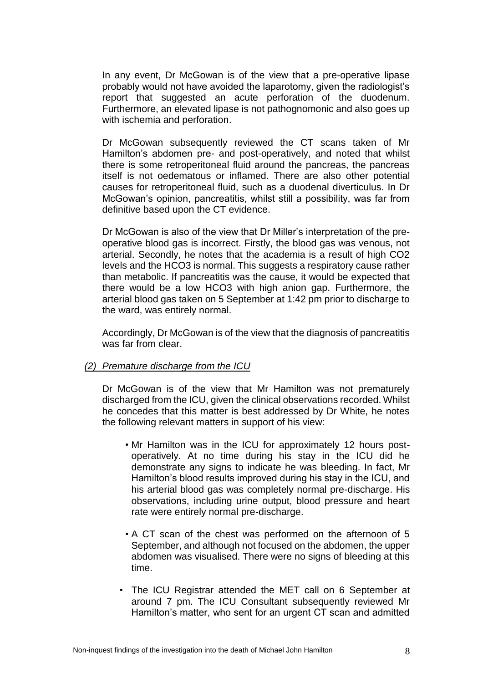In any event, Dr McGowan is of the view that a pre-operative lipase probably would not have avoided the laparotomy, given the radiologist's report that suggested an acute perforation of the duodenum. Furthermore, an elevated lipase is not pathognomonic and also goes up with ischemia and perforation.

Dr McGowan subsequently reviewed the CT scans taken of Mr Hamilton's abdomen pre- and post-operatively, and noted that whilst there is some retroperitoneal fluid around the pancreas, the pancreas itself is not oedematous or inflamed. There are also other potential causes for retroperitoneal fluid, such as a duodenal diverticulus. In Dr McGowan's opinion, pancreatitis, whilst still a possibility, was far from definitive based upon the CT evidence.

Dr McGowan is also of the view that Dr Miller's interpretation of the preoperative blood gas is incorrect. Firstly, the blood gas was venous, not arterial. Secondly, he notes that the academia is a result of high CO2 levels and the HCO3 is normal. This suggests a respiratory cause rather than metabolic. If pancreatitis was the cause, it would be expected that there would be a low HCO3 with high anion gap. Furthermore, the arterial blood gas taken on 5 September at 1:42 pm prior to discharge to the ward, was entirely normal.

Accordingly, Dr McGowan is of the view that the diagnosis of pancreatitis was far from clear.

## *(2) Premature discharge from the ICU*

Dr McGowan is of the view that Mr Hamilton was not prematurely discharged from the ICU, given the clinical observations recorded. Whilst he concedes that this matter is best addressed by Dr White, he notes the following relevant matters in support of his view:

- Mr Hamilton was in the ICU for approximately 12 hours postoperatively. At no time during his stay in the ICU did he demonstrate any signs to indicate he was bleeding. In fact, Mr Hamilton's blood results improved during his stay in the ICU, and his arterial blood gas was completely normal pre-discharge. His observations, including urine output, blood pressure and heart rate were entirely normal pre-discharge.
- A CT scan of the chest was performed on the afternoon of 5 September, and although not focused on the abdomen, the upper abdomen was visualised. There were no signs of bleeding at this time.
- The ICU Registrar attended the MET call on 6 September at around 7 pm. The ICU Consultant subsequently reviewed Mr Hamilton's matter, who sent for an urgent CT scan and admitted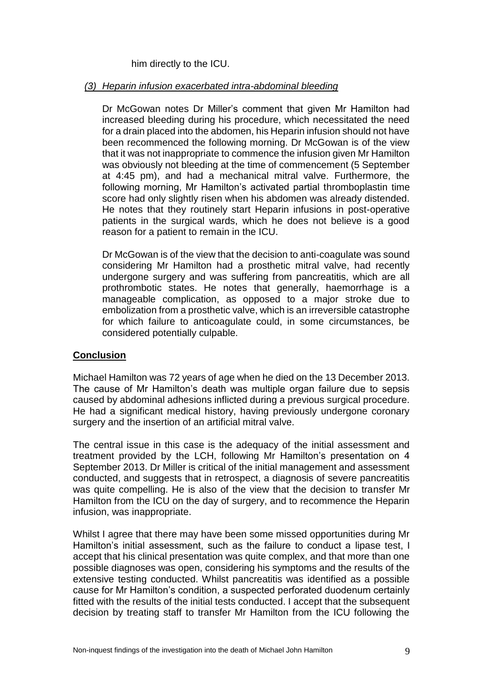him directly to the ICU.

## *(3) Heparin infusion exacerbated intra-abdominal bleeding*

Dr McGowan notes Dr Miller's comment that given Mr Hamilton had increased bleeding during his procedure, which necessitated the need for a drain placed into the abdomen, his Heparin infusion should not have been recommenced the following morning. Dr McGowan is of the view that it was not inappropriate to commence the infusion given Mr Hamilton was obviously not bleeding at the time of commencement (5 September at 4:45 pm), and had a mechanical mitral valve. Furthermore, the following morning, Mr Hamilton's activated partial thromboplastin time score had only slightly risen when his abdomen was already distended. He notes that they routinely start Heparin infusions in post-operative patients in the surgical wards, which he does not believe is a good reason for a patient to remain in the ICU.

Dr McGowan is of the view that the decision to anti-coagulate was sound considering Mr Hamilton had a prosthetic mitral valve, had recently undergone surgery and was suffering from pancreatitis, which are all prothrombotic states. He notes that generally, haemorrhage is a manageable complication, as opposed to a major stroke due to embolization from a prosthetic valve, which is an irreversible catastrophe for which failure to anticoagulate could, in some circumstances, be considered potentially culpable.

# **Conclusion**

Michael Hamilton was 72 years of age when he died on the 13 December 2013. The cause of Mr Hamilton's death was multiple organ failure due to sepsis caused by abdominal adhesions inflicted during a previous surgical procedure. He had a significant medical history, having previously undergone coronary surgery and the insertion of an artificial mitral valve.

The central issue in this case is the adequacy of the initial assessment and treatment provided by the LCH, following Mr Hamilton's presentation on 4 September 2013. Dr Miller is critical of the initial management and assessment conducted, and suggests that in retrospect, a diagnosis of severe pancreatitis was quite compelling. He is also of the view that the decision to transfer Mr Hamilton from the ICU on the day of surgery, and to recommence the Heparin infusion, was inappropriate.

Whilst I agree that there may have been some missed opportunities during Mr Hamilton's initial assessment, such as the failure to conduct a lipase test, I accept that his clinical presentation was quite complex, and that more than one possible diagnoses was open, considering his symptoms and the results of the extensive testing conducted. Whilst pancreatitis was identified as a possible cause for Mr Hamilton's condition, a suspected perforated duodenum certainly fitted with the results of the initial tests conducted. I accept that the subsequent decision by treating staff to transfer Mr Hamilton from the ICU following the